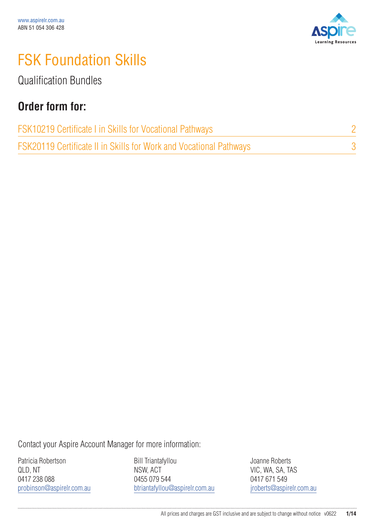

## FSK Foundation Skills

Qualification Bundles

#### **Order form for:**

| FSK10219 Certificate I in Skills for Vocational Pathways                  |  |
|---------------------------------------------------------------------------|--|
| <b>FSK20119 Certificate II in Skills for Work and Vocational Pathways</b> |  |

Contact your Aspire Account Manager for more information:

Patricia Robertson QLD, NT 0417 238 088 probinson@aspirelr.com.au

Bill Triantafyllou NSW, ACT 0455 079 544 btriantafyllou@aspirelr.com.au Joanne Roberts VIC, WA, SA, TAS 0417 671 549 jroberts@aspirelr.com.au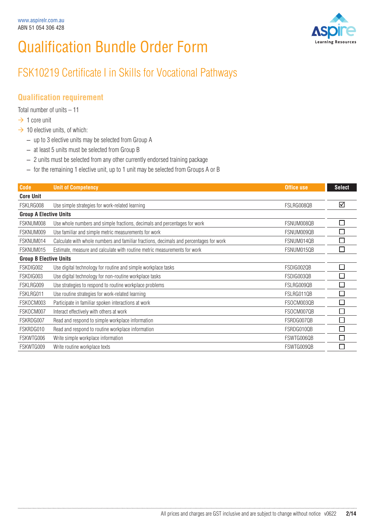# Qualification Bundle Order Form



### FSK10219 Certificate I in Skills for Vocational Pathways

#### **Qualification requirement**

Total number of units – 11

- $\rightarrow$  1 core unit
- $\rightarrow$  10 elective units, of which:
	- up to 3 elective units may be selected from Group A
	- at least 5 units must be selected from Group B
	- 2 units must be selected from any other currently endorsed training package
	- for the remaining 1 elective unit, up to 1 unit may be selected from Groups A or B

| <b>Code</b>                   | <b>Unit of Competency</b>                                                              | Office use | <b>Select</b>            |
|-------------------------------|----------------------------------------------------------------------------------------|------------|--------------------------|
| <b>Core Unit</b>              |                                                                                        |            |                          |
| FSKLRG008                     | Use simple strategies for work-related learning                                        | FSLRG008QB | ☑                        |
| <b>Group A Elective Units</b> |                                                                                        |            |                          |
| FSKNUM008                     | Use whole numbers and simple fractions, decimals and percentages for work              | FSNUM008QB | $\Box$                   |
| FSKNUM009                     | Use familiar and simple metric measurements for work                                   | FSNUM009QB | $\Box$                   |
| FSKNUM014                     | Calculate with whole numbers and familiar fractions, decimals and percentages for work | FSNUM014QB | Π                        |
| FSKNUM015                     | Estimate, measure and calculate with routine metric measurements for work              | FSNUM015QB | П                        |
| <b>Group B Elective Units</b> |                                                                                        |            |                          |
| FSKDIG002                     | Use digital technology for routine and simple workplace tasks                          | FSDIG002QB | $\Box$                   |
| FSKDIG003                     | Use digital technology for non-routine workplace tasks                                 | FSDIG003QB | Г                        |
| FSKLRG009                     | Use strategies to respond to routine workplace problems                                | FSLRG009QB | □                        |
| FSKLRG011                     | Use routine strategies for work-related learning                                       | FSLRG011QB | $\mathcal{L}$            |
| FSKOCM003                     | Participate in familiar spoken interactions at work                                    | FSOCM003QB | П                        |
| FSKOCM007                     | Interact effectively with others at work                                               | FSOCM007QB | П                        |
| FSKRDG007                     | Read and respond to simple workplace information                                       | FSRDG007QB | П                        |
| FSKRDG010                     | Read and respond to routine workplace information                                      | FSRDG010QB | $\overline{\phantom{a}}$ |
| FSKWTG006                     | Write simple workplace information                                                     | FSWTG006QB | $\mathcal{L}$            |
| FSKWTG009                     | Write routine workplace texts                                                          | FSWTG009QB | L.                       |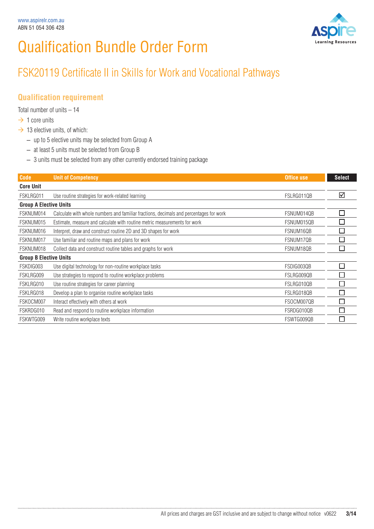# Qualification Bundle Order Form



### FSK20119 Certificate II in Skills for Work and Vocational Pathways

#### **Qualification requirement**

Total number of units – 14

- $\rightarrow$  1 core units
- $\rightarrow$  13 elective units, of which:
	- up to 5 elective units may be selected from Group A
	- at least 5 units must be selected from Group B
	- 3 units must be selected from any other currently endorsed training package

| <b>Code</b>                   | <b>Unit of Competency</b>                                                              | Office use | <b>Select</b> |
|-------------------------------|----------------------------------------------------------------------------------------|------------|---------------|
| <b>Core Unit</b>              |                                                                                        |            |               |
| FSKLRG011                     | Use routine strategies for work-related learning                                       | FSLRG011QB | ☑             |
| <b>Group A Elective Units</b> |                                                                                        |            |               |
| FSKNUM014                     | Calculate with whole numbers and familiar fractions, decimals and percentages for work | FSNUM014QB | E             |
| FSKNUM015                     | Estimate, measure and calculate with routine metric measurements for work              | FSNUM015QB |               |
| FSKNUM016                     | Interpret, draw and construct routine 2D and 3D shapes for work                        | FSNUM16QB  |               |
| FSKNUM017                     | Use familiar and routine maps and plans for work                                       | FSNUM17QB  |               |
| FSKNUM018                     | Collect data and construct routine tables and graphs for work                          | FSNUM18QB  |               |
| <b>Group B Elective Units</b> |                                                                                        |            |               |
| FSKDIG003                     | Use digital technology for non-routine workplace tasks                                 | FSDIG003QB | $\mathcal{L}$ |
| FSKLRG009                     | Use strategies to respond to routine workplace problems                                | FSLRG009QB |               |
| FSKLRG010                     | Use routine strategies for career planning                                             | FSLRG010QB |               |
| FSKLRG018                     | Develop a plan to organise routine workplace tasks                                     | FSLRG018QB |               |
| FSKOCM007                     | Interact effectively with others at work                                               | FSOCM007QB | T.            |
| FSKRDG010                     | Read and respond to routine workplace information                                      | FSRDG010QB |               |
| FSKWTG009                     | Write routine workplace texts                                                          | FSWTG009QB |               |